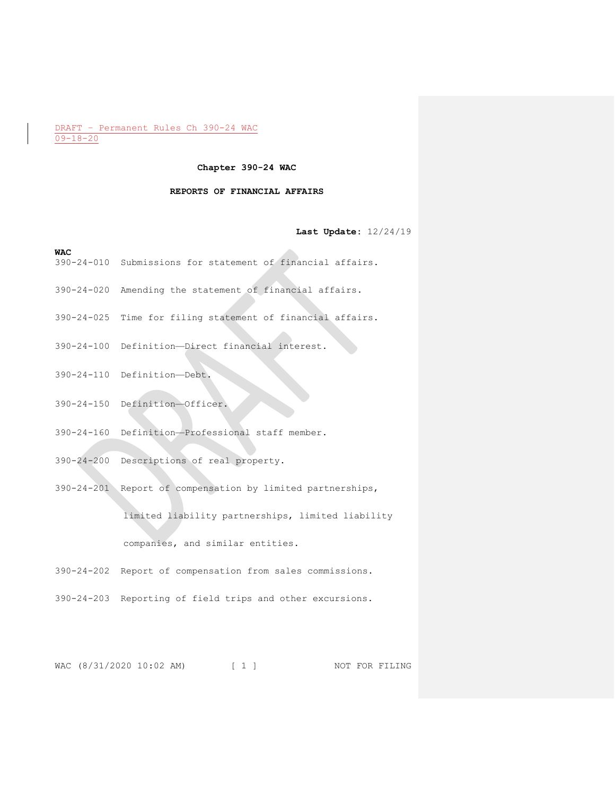## **Chapter 390-24 WAC**

## **REPORTS OF FINANCIAL AFFAIRS**

## **Last Update:** 12/24/19

#### **WAC**

- 390-24-010 Submissions for statement of financial affairs.
- 390-24-020 Amending the statement of financial affairs.
- 390-24-025 Time for filing statement of financial affairs.
- 390-24-100 Definition—Direct financial interest.
- 390-24-110 Definition—Debt.
- 390-24-150 Definition—Officer.
- 390-24-160 Definition—Professional staff member.
- 390-24-200 Descriptions of real property.
- 390-24-201 Report of compensation by limited partnerships,

limited liability partnerships, limited liability

companies, and similar entities.

390-24-202 Report of compensation from sales commissions.

390-24-203 Reporting of field trips and other excursions.

WAC (8/31/2020 10:02 AM) [ 1 ] NOT FOR FILING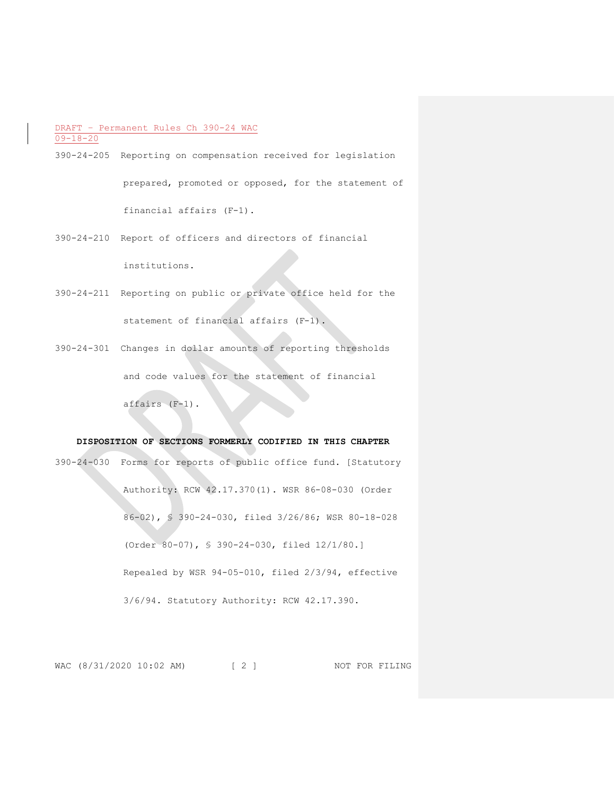- 390-24-205 Reporting on compensation received for legislation prepared, promoted or opposed, for the statement of financial affairs (F-1).
- 390-24-210 Report of officers and directors of financial institutions.
- 390-24-211 Reporting on public or private office held for the statement of financial affairs (F-1).
- 390-24-301 Changes in dollar amounts of reporting thresholds and code values for the statement of financial affairs (F-1).

# **DISPOSITION OF SECTIONS FORMERLY CODIFIED IN THIS CHAPTER**

390-24-030 Forms for reports of public office fund. [Statutory Authority: RCW 42.17.370(1). WSR 86-08-030 (Order 86-02), § 390-24-030, filed 3/26/86; WSR 80-18-028 (Order 80-07), § 390-24-030, filed 12/1/80.] Repealed by WSR 94-05-010, filed 2/3/94, effective 3/6/94. Statutory Authority: RCW 42.17.390.

WAC (8/31/2020 10:02 AM) [ 2 ] NOT FOR FILING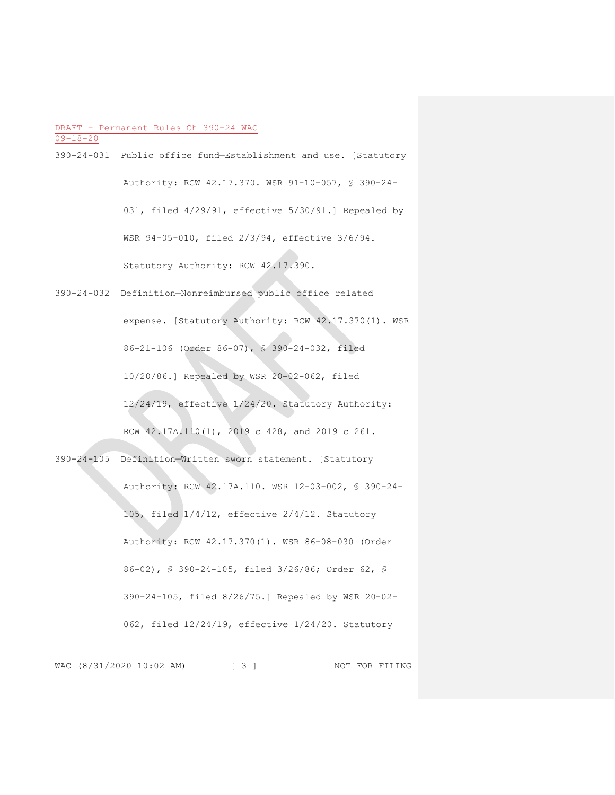- 390-24-031 Public office fund—Establishment and use. [Statutory Authority: RCW 42.17.370. WSR 91-10-057, § 390-24- 031, filed 4/29/91, effective 5/30/91.] Repealed by WSR 94-05-010, filed 2/3/94, effective 3/6/94. Statutory Authority: RCW 42.17.390.
- 390-24-032 Definition—Nonreimbursed public office related expense. [Statutory Authority: RCW 42.17.370(1). WSR 86-21-106 (Order 86-07), § 390-24-032, filed 10/20/86.] Repealed by WSR 20-02-062, filed 12/24/19, effective 1/24/20. Statutory Authority: RCW 42.17A.110(1), 2019 c 428, and 2019 c 261.
- 390-24-105 Definition—Written sworn statement. [Statutory Authority: RCW 42.17A.110. WSR 12-03-002, § 390-24- 105, filed 1/4/12, effective 2/4/12. Statutory Authority: RCW 42.17.370(1). WSR 86-08-030 (Order 86-02), § 390-24-105, filed 3/26/86; Order 62, § 390-24-105, filed 8/26/75.] Repealed by WSR 20-02- 062, filed 12/24/19, effective 1/24/20. Statutory

WAC (8/31/2020 10:02 AM) [ 3 ] NOT FOR FILING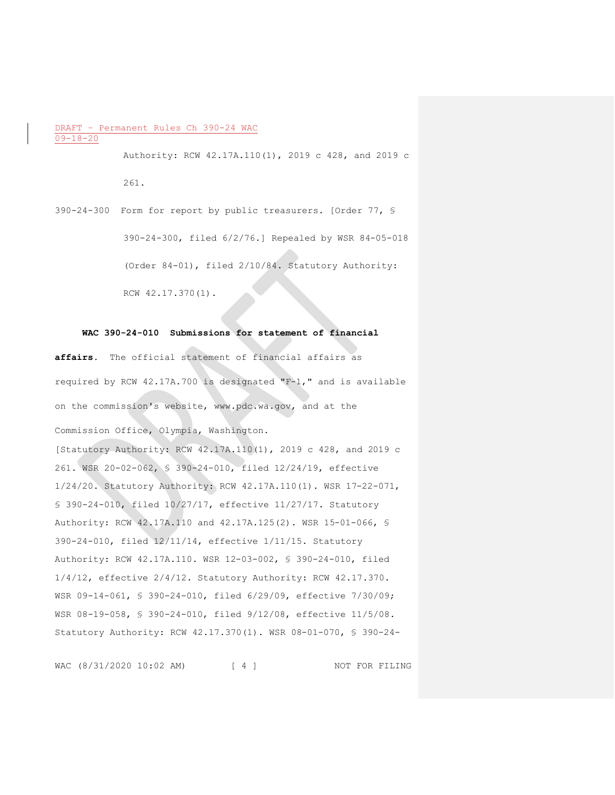Authority: RCW 42.17A.110(1), 2019 c 428, and 2019 c 261.

390-24-300 Form for report by public treasurers. [Order 77, § 390-24-300, filed 6/2/76.] Repealed by WSR 84-05-018 (Order 84-01), filed 2/10/84. Statutory Authority: RCW 42.17.370(1).

## **WAC 390-24-010 Submissions for statement of financial**

**affairs.** The official statement of financial affairs as required by RCW 42.17A.700 is designated "F-1," and is available on the commission's website, www.pdc.wa.gov, and at the Commission Office, Olympia, Washington. [Statutory Authority: RCW 42.17A.110(1), 2019 c 428, and 2019 c 261. WSR 20-02-062, § 390-24-010, filed 12/24/19, effective 1/24/20. Statutory Authority: RCW 42.17A.110(1). WSR 17-22-071, § 390-24-010, filed 10/27/17, effective 11/27/17. Statutory Authority: RCW 42.17A.110 and 42.17A.125(2). WSR 15-01-066, § 390-24-010, filed 12/11/14, effective 1/11/15. Statutory Authority: RCW 42.17A.110. WSR 12-03-002, § 390-24-010, filed 1/4/12, effective 2/4/12. Statutory Authority: RCW 42.17.370. WSR 09-14-061, § 390-24-010, filed 6/29/09, effective 7/30/09; WSR 08-19-058, § 390-24-010, filed 9/12/08, effective 11/5/08. Statutory Authority: RCW 42.17.370(1). WSR 08-01-070, § 390-24-

WAC (8/31/2020 10:02 AM) [ 4 ] NOT FOR FILING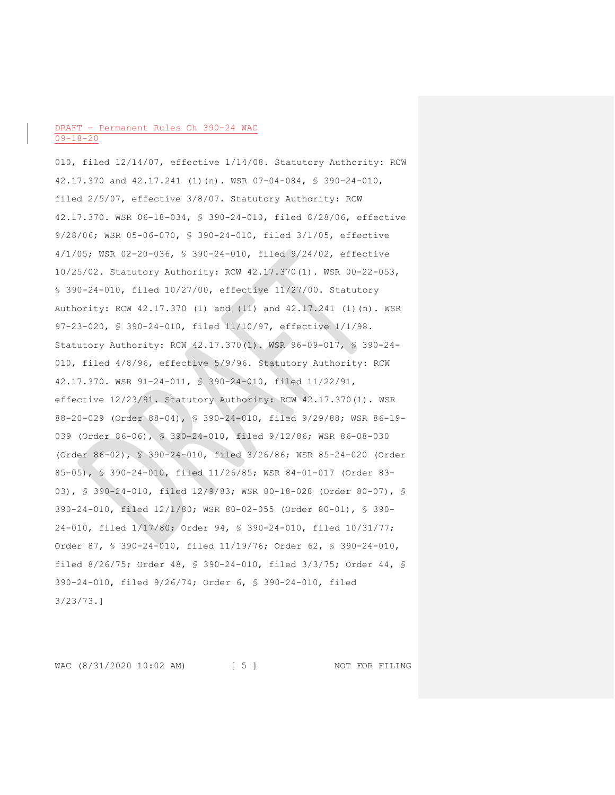010, filed 12/14/07, effective 1/14/08. Statutory Authority: RCW 42.17.370 and 42.17.241 (1)(n). WSR 07-04-084, § 390-24-010, filed 2/5/07, effective 3/8/07. Statutory Authority: RCW 42.17.370. WSR 06-18-034, § 390-24-010, filed 8/28/06, effective 9/28/06; WSR 05-06-070, § 390-24-010, filed 3/1/05, effective 4/1/05; WSR 02-20-036, § 390-24-010, filed 9/24/02, effective 10/25/02. Statutory Authority: RCW 42.17.370(1). WSR 00-22-053, § 390-24-010, filed 10/27/00, effective 11/27/00. Statutory Authority: RCW 42.17.370 (1) and (11) and 42.17.241 (1)(n). WSR 97-23-020, § 390-24-010, filed 11/10/97, effective 1/1/98. Statutory Authority: RCW 42.17.370(1). WSR 96-09-017, § 390-24- 010, filed 4/8/96, effective 5/9/96. Statutory Authority: RCW 42.17.370. WSR 91-24-011, § 390-24-010, filed 11/22/91, effective 12/23/91. Statutory Authority: RCW 42.17.370(1). WSR 88-20-029 (Order 88-04), § 390-24-010, filed 9/29/88; WSR 86-19- 039 (Order 86-06), § 390-24-010, filed 9/12/86; WSR 86-08-030 (Order 86-02), § 390-24-010, filed 3/26/86; WSR 85-24-020 (Order 85-05), § 390-24-010, filed 11/26/85; WSR 84-01-017 (Order 83- 03), § 390-24-010, filed 12/9/83; WSR 80-18-028 (Order 80-07), § 390-24-010, filed 12/1/80; WSR 80-02-055 (Order 80-01), § 390- 24-010, filed 1/17/80; Order 94, § 390-24-010, filed 10/31/77; Order 87, § 390-24-010, filed 11/19/76; Order 62, § 390-24-010, filed 8/26/75; Order 48, § 390-24-010, filed 3/3/75; Order 44, § 390-24-010, filed 9/26/74; Order 6, § 390-24-010, filed 3/23/73.]

WAC (8/31/2020 10:02 AM) [ 5 ] NOT FOR FILING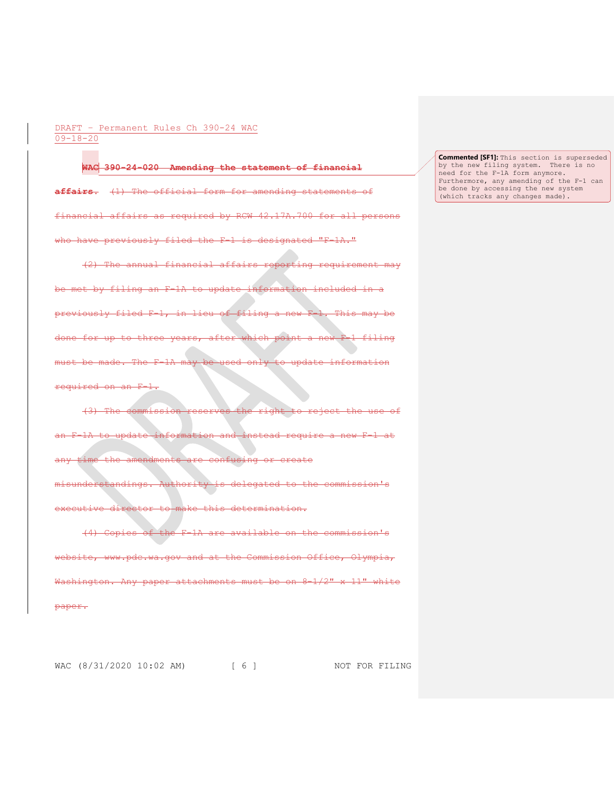#### **WAC 390-24-020 Amending the statement of financial**

**affairs.** (1) The official form for amending statements of financial affairs as required by RCW 42.17A.700 for all persons who have previously filed the F-1 is designated "F-1A."

(2) The annual financial affairs reporting requirement may by filing an F-1A to update information included previously filed F-1, in lieu of filing a new F-1. This may be done for up to three years, after which point a new F-1 filing must be made. The F-1A may be used only to update information required on an F-1.

(3) The commission reserves the right to reject the use of -1A to update information and instead require a new F-1 at time the amendments are confusing or create the commission's executive director to make this determination.

(4) Copies of the F-1A are available on the commission's  $\overline{\text{e}}$ bsite, www.pdc.wa.gov and at the Commission Office, Olympia, Washington. Any paper attachments must be on 8-1/2" x 11" white paper.

WAC (8/31/2020 10:02 AM) [ 6 ] NOT FOR FILING

**Commented [SF1]:** This section is superseded by the new filing system. There is no need for the F-1A form anymore. Furthermore, any amending of the F-1 can be done by accessing the new system (which tracks any changes made).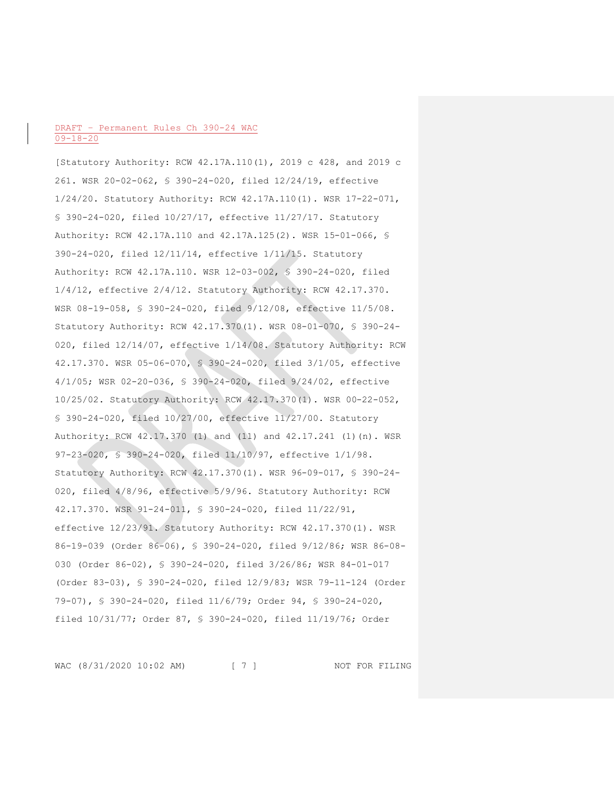[Statutory Authority: RCW 42.17A.110(1), 2019 c 428, and 2019 c 261. WSR 20-02-062, § 390-24-020, filed 12/24/19, effective 1/24/20. Statutory Authority: RCW 42.17A.110(1). WSR 17-22-071, § 390-24-020, filed 10/27/17, effective 11/27/17. Statutory Authority: RCW 42.17A.110 and 42.17A.125(2). WSR 15-01-066, § 390-24-020, filed 12/11/14, effective 1/11/15. Statutory Authority: RCW 42.17A.110. WSR 12-03-002, § 390-24-020, filed 1/4/12, effective 2/4/12. Statutory Authority: RCW 42.17.370. WSR 08-19-058, § 390-24-020, filed 9/12/08, effective 11/5/08. Statutory Authority: RCW 42.17.370(1). WSR 08-01-070, § 390-24- 020, filed 12/14/07, effective 1/14/08. Statutory Authority: RCW 42.17.370. WSR 05-06-070, § 390-24-020, filed 3/1/05, effective 4/1/05; WSR 02-20-036, § 390-24-020, filed 9/24/02, effective 10/25/02. Statutory Authority: RCW 42.17.370(1). WSR 00-22-052, § 390-24-020, filed 10/27/00, effective 11/27/00. Statutory Authority: RCW 42.17.370 (1) and (11) and 42.17.241 (1)(n). WSR 97-23-020, § 390-24-020, filed 11/10/97, effective 1/1/98. Statutory Authority: RCW 42.17.370(1). WSR 96-09-017, § 390-24- 020, filed 4/8/96, effective 5/9/96. Statutory Authority: RCW 42.17.370. WSR 91-24-011, § 390-24-020, filed 11/22/91, effective 12/23/91. Statutory Authority: RCW 42.17.370(1). WSR 86-19-039 (Order 86-06), § 390-24-020, filed 9/12/86; WSR 86-08- 030 (Order 86-02), § 390-24-020, filed 3/26/86; WSR 84-01-017 (Order 83-03), § 390-24-020, filed 12/9/83; WSR 79-11-124 (Order 79-07), § 390-24-020, filed 11/6/79; Order 94, § 390-24-020, filed 10/31/77; Order 87, § 390-24-020, filed 11/19/76; Order

WAC (8/31/2020 10:02 AM) [ 7 ] NOT FOR FILING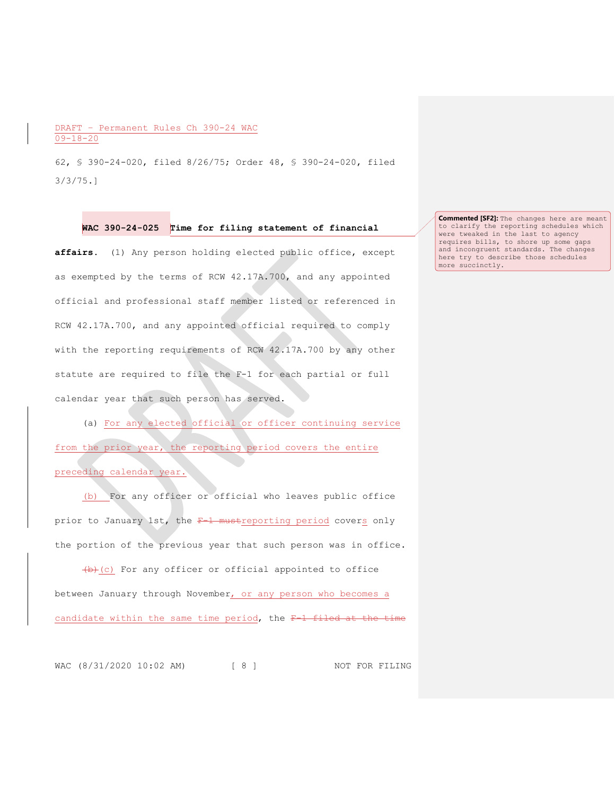62, § 390-24-020, filed 8/26/75; Order 48, § 390-24-020, filed 3/3/75.]

### **WAC 390-24-025 Time for filing statement of financial**

**affairs.** (1) Any person holding elected public office, except as exempted by the terms of RCW 42.17A.700, and any appointed official and professional staff member listed or referenced in RCW 42.17A.700, and any appointed official required to comply with the reporting requirements of RCW 42.17A.700 by any other statute are required to file the F-1 for each partial or full calendar year that such person has served.

(a) For any elected official or officer continuing service from the prior year, the reporting period covers the entire preceding calendar year.

(b) For any officer or official who leaves public office prior to January 1st, the F-1 mustreporting period covers only the portion of the previous year that such person was in office.

 $(b)+(c)$  For any officer or official appointed to office between January through November, or any person who becomes a candidate within the same time period, the  $F-1$  filed

WAC (8/31/2020 10:02 AM) [ 8 ] NOT FOR FILING

**Commented [SF2]:** The changes here are meant to clarify the reporting schedules which were tweaked in the last to agency requires bills, to shore up some gaps and incongruent standards. The changes here try to describe those schedules more succinctly.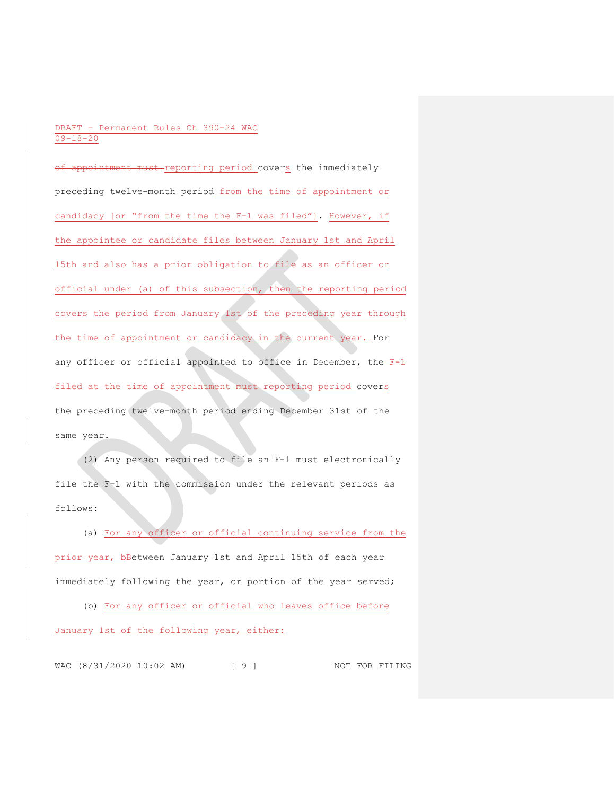of appointment must reporting period covers the immediately preceding twelve-month period from the time of appointment or candidacy [or "from the time the F-1 was filed"]. However, if the appointee or candidate files between January 1st and April 15th and also has a prior obligation to file as an officer or official under (a) of this subsection, then the reporting period covers the period from January 1st of the preceding year through the time of appointment or candidacy in the current year. For any officer or official appointed to office in December, the  $F-1$ filed at the time of appointment must reporting period covers the preceding twelve-month period ending December 31st of the same year.

(2) Any person required to file an F-1 must electronically file the F-1 with the commission under the relevant periods as follows:

(a) For any officer or official continuing service from the prior year, bBetween January 1st and April 15th of each year immediately following the year, or portion of the year served;

(b) For any officer or official who leaves office before January 1st of the following year, either:

WAC (8/31/2020 10:02 AM) [ 9 ] NOT FOR FILING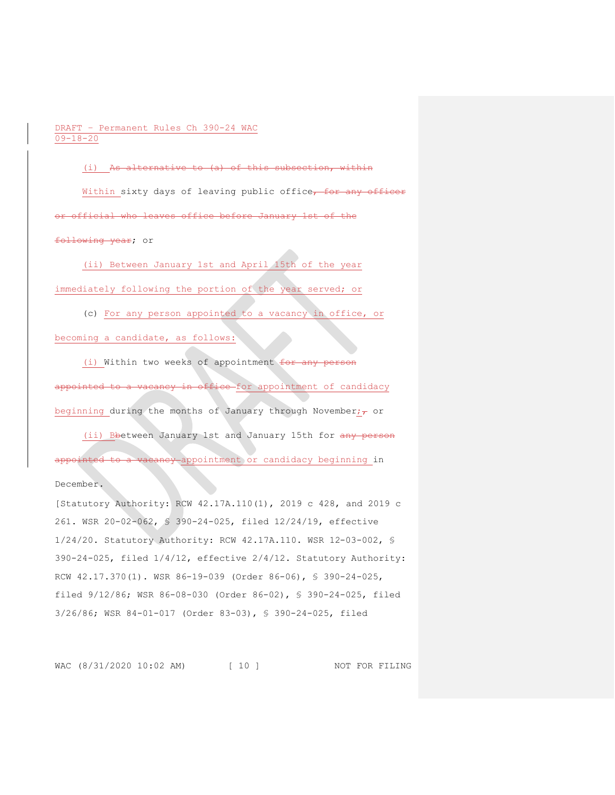(i) As alternative to (a) of this subsection, within Within sixty days of leaving public office, for any officer or official who leaves office before January 1st of the fo<del>llowing year</del>; or

(ii) Between January 1st and April 15th of the year immediately following the portion of the year served; or

(c) For any person appointed to a vacancy in office, or

becoming a candidate, as follows:

(i) Within two weeks of appointment for any person appointed to a vacancy in office for appointment of candidacy beginning during the months of January through November; $\tau$  or

(ii) Bbetween January 1st and January 15th for any person appointed to a vacancy appointment or candidacy beginning in

December.

[Statutory Authority: RCW 42.17A.110(1), 2019 c 428, and 2019 c 261. WSR 20-02-062, § 390-24-025, filed 12/24/19, effective 1/24/20. Statutory Authority: RCW 42.17A.110. WSR 12-03-002, § 390-24-025, filed 1/4/12, effective 2/4/12. Statutory Authority: RCW 42.17.370(1). WSR 86-19-039 (Order 86-06), § 390-24-025, filed 9/12/86; WSR 86-08-030 (Order 86-02), § 390-24-025, filed 3/26/86; WSR 84-01-017 (Order 83-03), § 390-24-025, filed

WAC (8/31/2020 10:02 AM) [ 10 ] NOT FOR FILING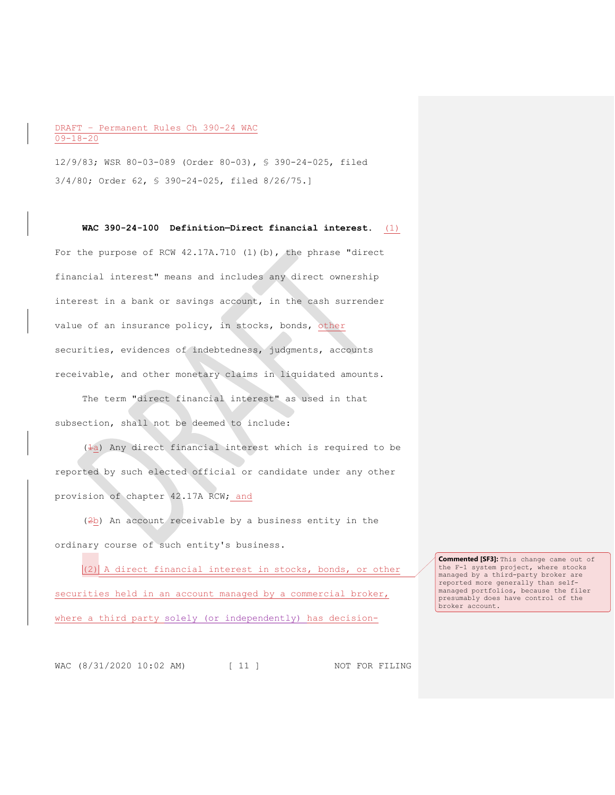12/9/83; WSR 80-03-089 (Order 80-03), § 390-24-025, filed 3/4/80; Order 62, § 390-24-025, filed 8/26/75.]

For the purpose of RCW 42.17A.710 (1)(b), the phrase "direct financial interest" means and includes any direct ownership interest in a bank or savings account, in the cash surrender value of an insurance policy, in stocks, bonds, other securities, evidences of indebtedness, judgments, accounts receivable, and other monetary claims in liquidated amounts.

**WAC 390-24-100 Definition—Direct financial interest.** (1)

The term "direct financial interest" as used in that subsection, shall not be deemed to include:

 $(4a)$  Any direct financial interest which is required to be reported by such elected official or candidate under any other provision of chapter 42.17A RCW; and

(2b) An account receivable by a business entity in the ordinary course of such entity's business.

 $|(2)|$  A direct financial interest in stocks, bonds, or other securities held in an account managed by a commercial broker, where a third party solely (or independently) has decision-

**Commented [SF3]:** This change came out of the F-1 system project, where stocks managed by a third-party broker are reported more generally than selfmanaged portfolios, because the filer presumably does have control of the broker account.

WAC (8/31/2020 10:02 AM) [ 11 ] NOT FOR FILING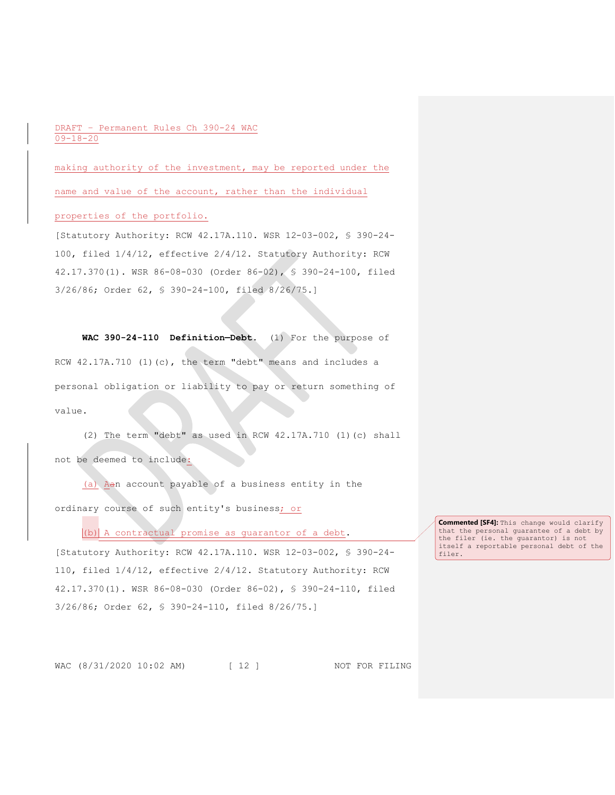making authority of the investment, may be reported under the name and value of the account, rather than the individual

# properties of the portfolio.

[Statutory Authority: RCW 42.17A.110. WSR 12-03-002, § 390-24- 100, filed 1/4/12, effective 2/4/12. Statutory Authority: RCW 42.17.370(1). WSR 86-08-030 (Order 86-02), § 390-24-100, filed 3/26/86; Order 62, § 390-24-100, filed 8/26/75.]

**WAC 390-24-110 Definition—Debt.** (1) For the purpose of RCW 42.17A.710 (1)(c), the term "debt" means and includes a personal obligation or liability to pay or return something of value.

(2) The term "debt" as used in RCW 42.17A.710 (1)(c) shall not be deemed to include:

(a) Aan account payable of a business entity in the ordinary course of such entity's business; or

 $|(b)|$  A contractual promise as quarantor of a debt.

[Statutory Authority: RCW 42.17A.110. WSR 12-03-002, § 390-24- 110, filed 1/4/12, effective 2/4/12. Statutory Authority: RCW 42.17.370(1). WSR 86-08-030 (Order 86-02), § 390-24-110, filed 3/26/86; Order 62, § 390-24-110, filed 8/26/75.]

**Commented [SF4]:** This change would clarify that the personal guarantee of a debt by the filer (ie. the guarantor) is not itself a reportable personal debt of the filer.

WAC (8/31/2020 10:02 AM) [ 12 ] NOT FOR FILING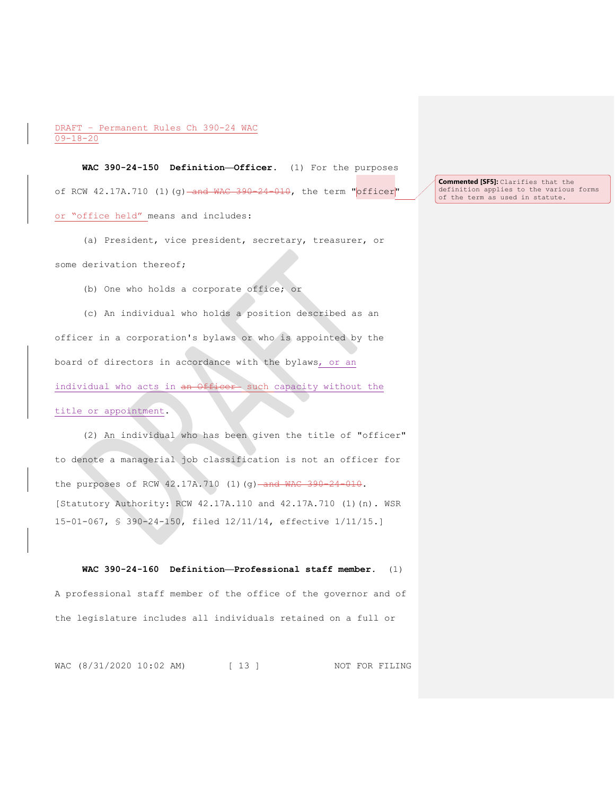**WAC 390-24-150 Definition—Officer.** (1) For the purposes of RCW 42.17A.710 (1)(g) and WAC 390-24-010, the term "officer" or "office held" means and includes:

(a) President, vice president, secretary, treasurer, or some derivation thereof;

(b) One who holds a corporate office; or

(c) An individual who holds a position described as an officer in a corporation's bylaws or who is appointed by the board of directors in accordance with the bylaws, or an individual who acts in an Officer- such capacity without the

# title or appointment.

(2) An individual who has been given the title of "officer" to denote a managerial job classification is not an officer for the purposes of RCW 42.17A.710 (1)(g) and WAC 390-24-010. [Statutory Authority: RCW 42.17A.110 and 42.17A.710 (1)(n). WSR 15-01-067, § 390-24-150, filed 12/11/14, effective 1/11/15.]

**WAC 390-24-160 Definition—Professional staff member.** (1) A professional staff member of the office of the governor and of the legislature includes all individuals retained on a full or

WAC (8/31/2020 10:02 AM) [ 13 ] NOT FOR FILING

**Commented [SF5]:** Clarifies that the definition applies to the various forms of the term as used in statute.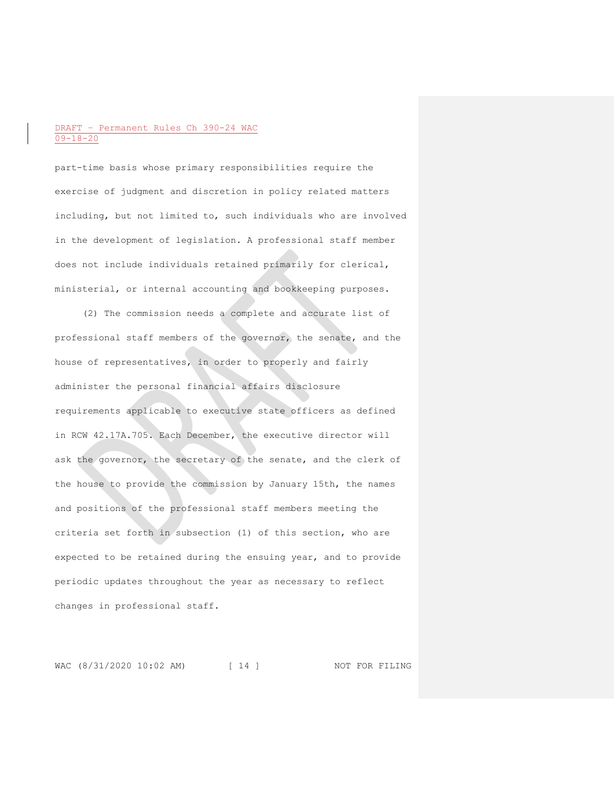part-time basis whose primary responsibilities require the exercise of judgment and discretion in policy related matters including, but not limited to, such individuals who are involved in the development of legislation. A professional staff member does not include individuals retained primarily for clerical, ministerial, or internal accounting and bookkeeping purposes.

(2) The commission needs a complete and accurate list of professional staff members of the governor, the senate, and the house of representatives, in order to properly and fairly administer the personal financial affairs disclosure requirements applicable to executive state officers as defined in RCW 42.17A.705. Each December, the executive director will ask the governor, the secretary of the senate, and the clerk of the house to provide the commission by January 15th, the names and positions of the professional staff members meeting the criteria set forth in subsection (1) of this section, who are expected to be retained during the ensuing year, and to provide periodic updates throughout the year as necessary to reflect changes in professional staff.

WAC (8/31/2020 10:02 AM) [ 14 ] NOT FOR FILING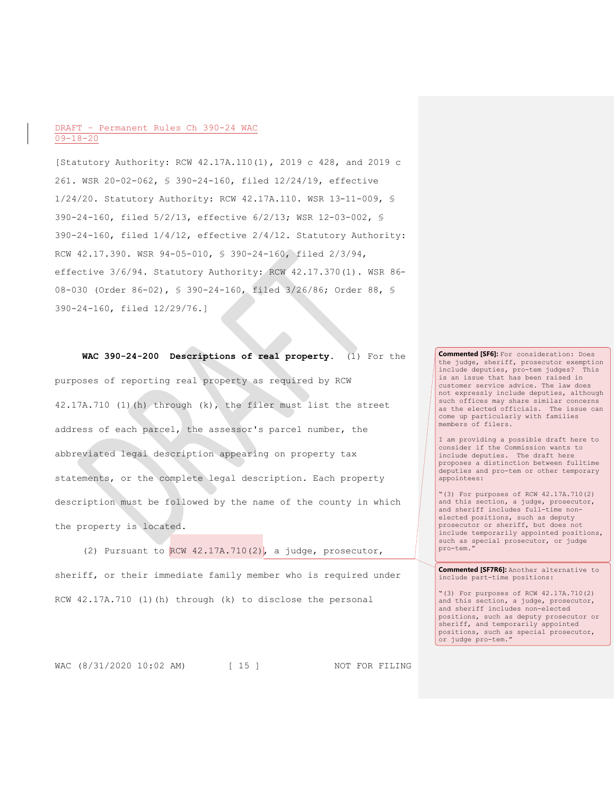[Statutory Authority: RCW 42.17A.110(1), 2019 c 428, and 2019 c 261. WSR 20-02-062, § 390-24-160, filed 12/24/19, effective 1/24/20. Statutory Authority: RCW 42.17A.110. WSR 13-11-009, § 390-24-160, filed 5/2/13, effective 6/2/13; WSR 12-03-002, § 390-24-160, filed 1/4/12, effective 2/4/12. Statutory Authority: RCW 42.17.390. WSR 94-05-010, § 390-24-160, filed 2/3/94, effective 3/6/94. Statutory Authority: RCW 42.17.370(1). WSR 86- 08-030 (Order 86-02), § 390-24-160, filed 3/26/86; Order 88, § 390-24-160, filed 12/29/76.]

**WAC 390-24-200 Descriptions of real property.** (1) For the purposes of reporting real property as required by RCW 42.17A.710 (1)(h) through (k), the filer must list the street address of each parcel, the assessor's parcel number, the abbreviated legal description appearing on property tax statements, or the complete legal description. Each property description must be followed by the name of the county in which the property is located.

(2) Pursuant to  $RCW$  42.17A.710(2), a judge, prosecutor, sheriff, or their immediate family member who is required under RCW 42.17A.710 (1)(h) through (k) to disclose the personal

**Commented [SF6]:** For consideration: Does the judge, sheriff, prosecutor exemption include deputies, pro-tem judges? This is an issue that has been raised in customer service advice. The law does not expressly include deputies, although such offices may share similar concerns as the elected officials. The issue can come up particularly with families members of filers.

I am providing a possible draft here to consider if the Commission wants to include deputies. The draft here proposes a distinction between fulltime deputies and pro-tem or other temporary appointees:

"(3) For purposes of RCW 42.17A.710(2) and this section, a judge, prosecutor, and sheriff includes full-time nonelected positions, such as deputy prosecutor or sheriff, but does not include temporarily appointed positions, such as special prosecutor, or judge pro-tem."

**Commented [SF7R6]:** Another alternative to include part-time positions:

"(3) For purposes of RCW 42.17A.710(2) and this section, a judge, prosecutor, and sheriff includes non-elected positions, such as deputy prosecutor or sheriff, and temporarily appointed positions, such as special prosecutor, or judge pro-tem."

WAC (8/31/2020 10:02 AM) [ 15 ] NOT FOR FILING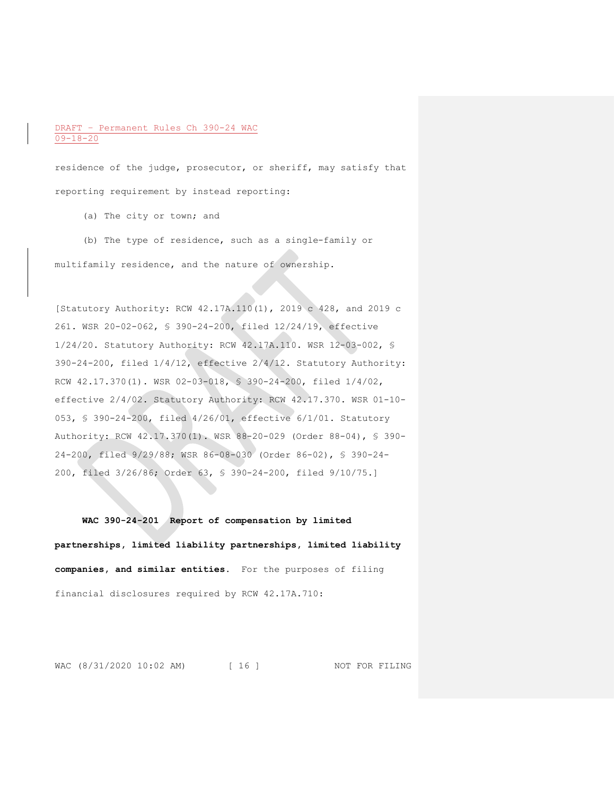residence of the judge, prosecutor, or sheriff, may satisfy that reporting requirement by instead reporting:

(a) The city or town; and

(b) The type of residence, such as a single-family or multifamily residence, and the nature of ownership.

[Statutory Authority: RCW 42.17A.110(1), 2019 c 428, and 2019 c 261. WSR 20-02-062, § 390-24-200, filed 12/24/19, effective 1/24/20. Statutory Authority: RCW 42.17A.110. WSR 12-03-002, § 390-24-200, filed 1/4/12, effective 2/4/12. Statutory Authority: RCW 42.17.370(1). WSR 02-03-018, § 390-24-200, filed 1/4/02, effective 2/4/02. Statutory Authority: RCW 42.17.370. WSR 01-10- 053, § 390-24-200, filed 4/26/01, effective 6/1/01. Statutory Authority: RCW 42.17.370(1). WSR 88-20-029 (Order 88-04), § 390- 24-200, filed 9/29/88; WSR 86-08-030 (Order 86-02), § 390-24- 200, filed 3/26/86; Order 63, § 390-24-200, filed 9/10/75.]

**WAC 390-24-201 Report of compensation by limited partnerships, limited liability partnerships, limited liability companies, and similar entities.** For the purposes of filing financial disclosures required by RCW 42.17A.710:

WAC (8/31/2020 10:02 AM) [ 16 ] NOT FOR FILING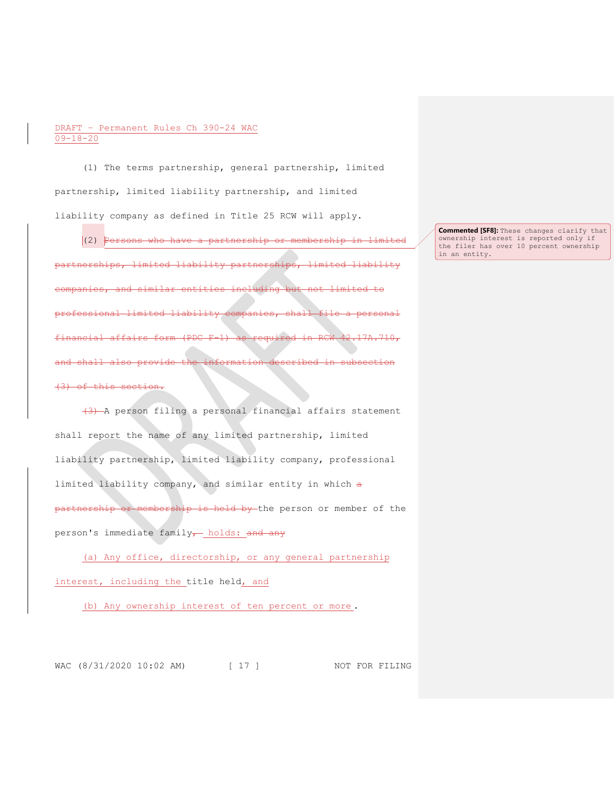(1) The terms partnership, general partnership, limited partnership, limited liability partnership, and limited liability company as defined in Title 25 RCW will apply.

(2) Persons who have a partnership or membership in limited partnerships, limited liability partnerships, limited liability ompanies, and similar entities including professional limited liability companies, shall file a personal financial affairs form (PDC F-1) as required in RCW 42.17A.710, and shall also p (3) of this section.

(3) A person filing a personal financial affairs statement shall report the name of any limited partnership, limited liability partnership, limited liability company, professional limited liability company, and similar entity in which a partnership or membership is held by the person or member of the person's immediate family- holds: and any

(a) Any office, directorship, or any general partnership interest, including the title held, and

(b) Any ownership interest of ten percent or more .

WAC (8/31/2020 10:02 AM) [ 17 ] NOT FOR FILING

**Commented [SF8]:** These changes clarify that ownership interest is reported only if the filer has over 10 percent ownership in an entity.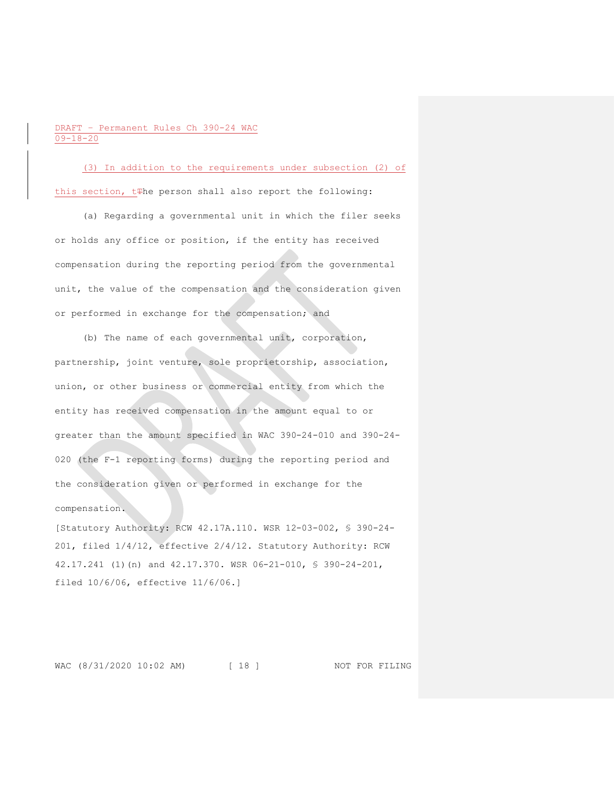(3) In addition to the requirements under subsection (2) of this section, t#he person shall also report the following:

(a) Regarding a governmental unit in which the filer seeks or holds any office or position, if the entity has received compensation during the reporting period from the governmental unit, the value of the compensation and the consideration given or performed in exchange for the compensation; and

(b) The name of each governmental unit, corporation, partnership, joint venture, sole proprietorship, association, union, or other business or commercial entity from which the entity has received compensation in the amount equal to or greater than the amount specified in WAC 390-24-010 and 390-24- 020 (the F-1 reporting forms) during the reporting period and the consideration given or performed in exchange for the compensation.

[Statutory Authority: RCW 42.17A.110. WSR 12-03-002, § 390-24- 201, filed 1/4/12, effective 2/4/12. Statutory Authority: RCW 42.17.241 (1)(n) and 42.17.370. WSR 06-21-010, § 390-24-201, filed 10/6/06, effective 11/6/06.]

WAC (8/31/2020 10:02 AM) [ 18 ] NOT FOR FILING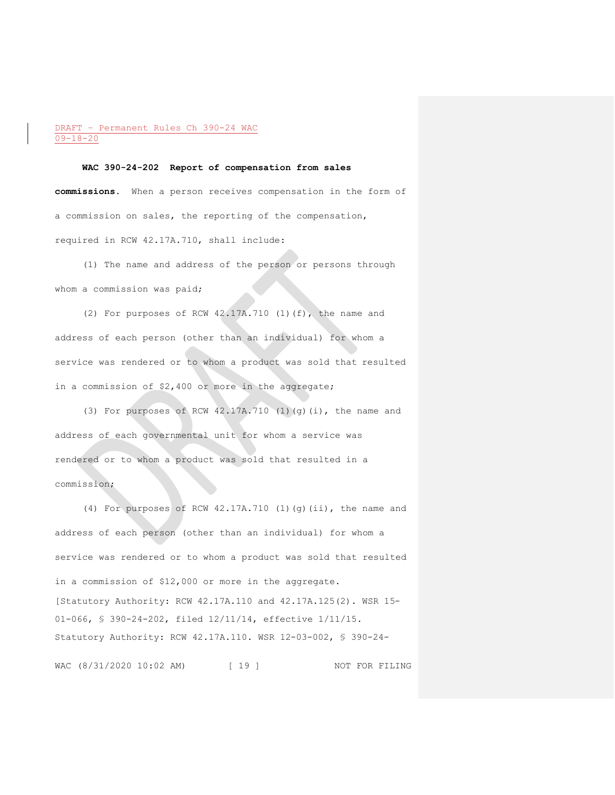#### **WAC 390-24-202 Report of compensation from sales**

**commissions.** When a person receives compensation in the form of a commission on sales, the reporting of the compensation, required in RCW 42.17A.710, shall include:

(1) The name and address of the person or persons through whom a commission was paid;

(2) For purposes of RCW 42.17A.710 (1)(f), the name and address of each person (other than an individual) for whom a service was rendered or to whom a product was sold that resulted in a commission of \$2,400 or more in the aggregate;

(3) For purposes of RCW 42.17A.710 (1)(g)(i), the name and address of each governmental unit for whom a service was rendered or to whom a product was sold that resulted in a commission;

(4) For purposes of RCW 42.17A.710 (1)(g)(ii), the name and address of each person (other than an individual) for whom a service was rendered or to whom a product was sold that resulted in a commission of \$12,000 or more in the aggregate. [Statutory Authority: RCW 42.17A.110 and 42.17A.125(2). WSR 15- 01-066, § 390-24-202, filed 12/11/14, effective 1/11/15. Statutory Authority: RCW 42.17A.110. WSR 12-03-002, § 390-24-

WAC (8/31/2020 10:02 AM) [ 19 ] NOT FOR FILING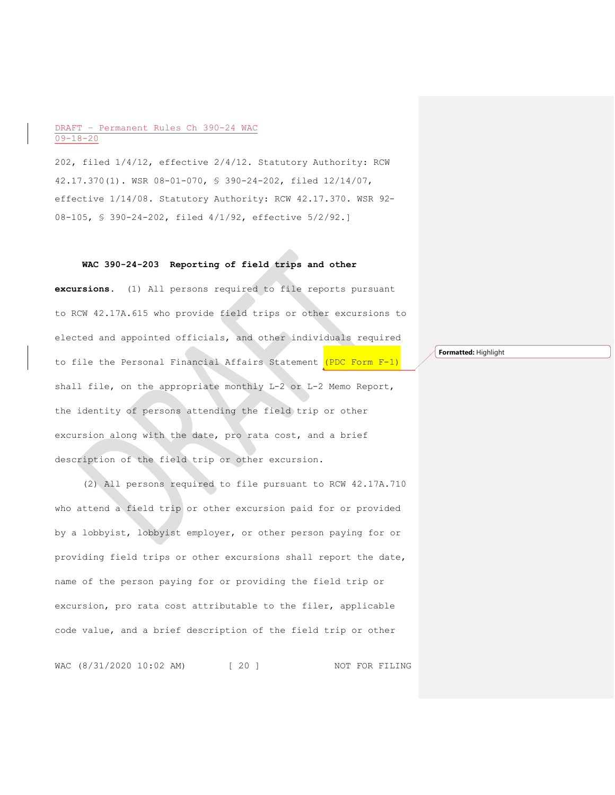202, filed 1/4/12, effective 2/4/12. Statutory Authority: RCW 42.17.370(1). WSR 08-01-070, § 390-24-202, filed 12/14/07, effective 1/14/08. Statutory Authority: RCW 42.17.370. WSR 92- 08-105, § 390-24-202, filed 4/1/92, effective 5/2/92.]

## **WAC 390-24-203 Reporting of field trips and other**

**excursions.** (1) All persons required to file reports pursuant to RCW 42.17A.615 who provide field trips or other excursions to elected and appointed officials, and other individuals required to file the Personal Financial Affairs Statement (PDC Form F-1) shall file, on the appropriate monthly L-2 or L-2 Memo Report, the identity of persons attending the field trip or other excursion along with the date, pro rata cost, and a brief description of the field trip or other excursion.

(2) All persons required to file pursuant to RCW 42.17A.710 who attend a field trip or other excursion paid for or provided by a lobbyist, lobbyist employer, or other person paying for or providing field trips or other excursions shall report the date, name of the person paying for or providing the field trip or excursion, pro rata cost attributable to the filer, applicable code value, and a brief description of the field trip or other

WAC (8/31/2020 10:02 AM) [ 20 ] NOT FOR FILING

**Formatted:** Highlight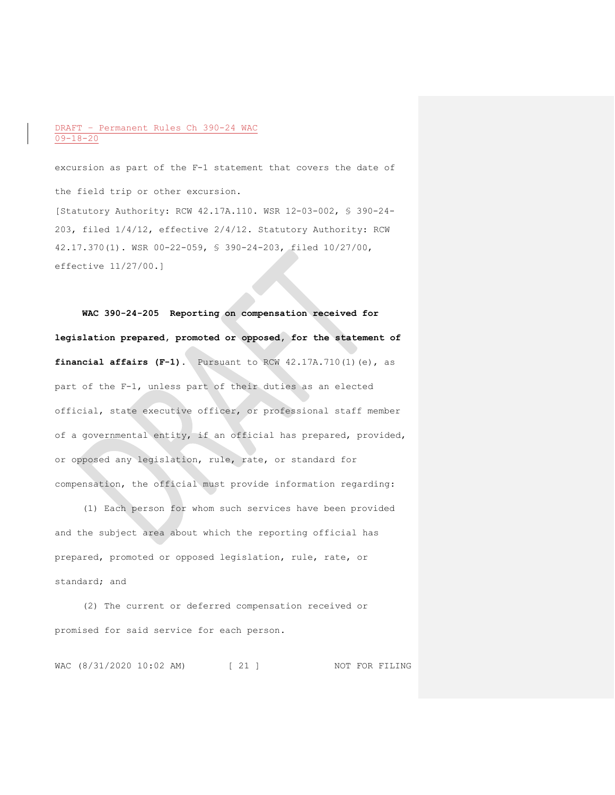excursion as part of the F-1 statement that covers the date of the field trip or other excursion. [Statutory Authority: RCW 42.17A.110. WSR 12-03-002, § 390-24- 203, filed 1/4/12, effective 2/4/12. Statutory Authority: RCW 42.17.370(1). WSR 00-22-059, § 390-24-203, filed 10/27/00, effective 11/27/00.]

**WAC 390-24-205 Reporting on compensation received for legislation prepared, promoted or opposed, for the statement of financial affairs (F-1).** Pursuant to RCW 42.17A.710(1)(e), as part of the F-1, unless part of their duties as an elected official, state executive officer, or professional staff member of a governmental entity, if an official has prepared, provided, or opposed any legislation, rule, rate, or standard for compensation, the official must provide information regarding:

(1) Each person for whom such services have been provided and the subject area about which the reporting official has prepared, promoted or opposed legislation, rule, rate, or standard; and

(2) The current or deferred compensation received or promised for said service for each person.

WAC (8/31/2020 10:02 AM) [ 21 ] NOT FOR FILING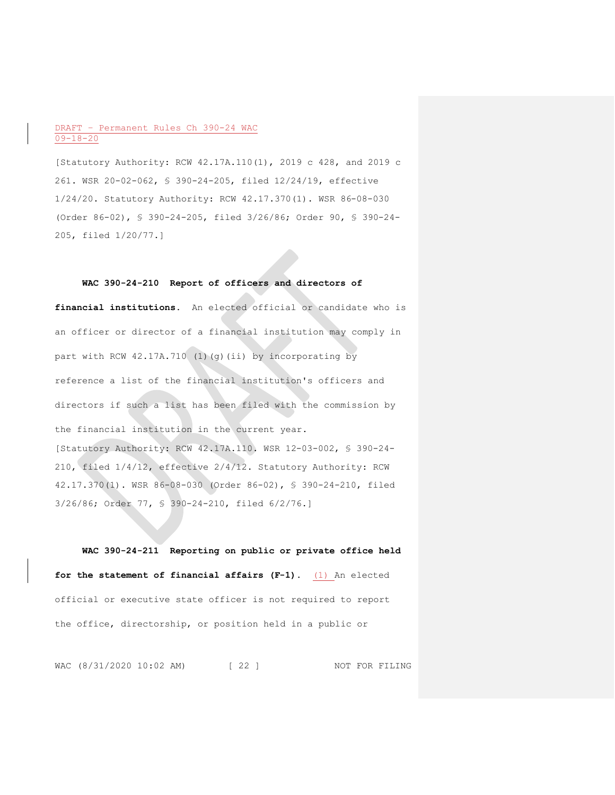[Statutory Authority: RCW 42.17A.110(1), 2019 c 428, and 2019 c 261. WSR 20-02-062, § 390-24-205, filed 12/24/19, effective 1/24/20. Statutory Authority: RCW 42.17.370(1). WSR 86-08-030 (Order 86-02), § 390-24-205, filed 3/26/86; Order 90, § 390-24- 205, filed 1/20/77.]

#### **WAC 390-24-210 Report of officers and directors of**

**financial institutions.** An elected official or candidate who is an officer or director of a financial institution may comply in part with RCW 42.17A.710 (1)(g)(ii) by incorporating by reference a list of the financial institution's officers and directors if such a list has been filed with the commission by the financial institution in the current year. [Statutory Authority: RCW 42.17A.110. WSR 12-03-002, § 390-24- 210, filed 1/4/12, effective 2/4/12. Statutory Authority: RCW 42.17.370(1). WSR 86-08-030 (Order 86-02), § 390-24-210, filed 3/26/86; Order 77, § 390-24-210, filed 6/2/76.]

**WAC 390-24-211 Reporting on public or private office held for the statement of financial affairs (F-1).** (1) An elected official or executive state officer is not required to report the office, directorship, or position held in a public or

WAC (8/31/2020 10:02 AM) [ 22 ] NOT FOR FILING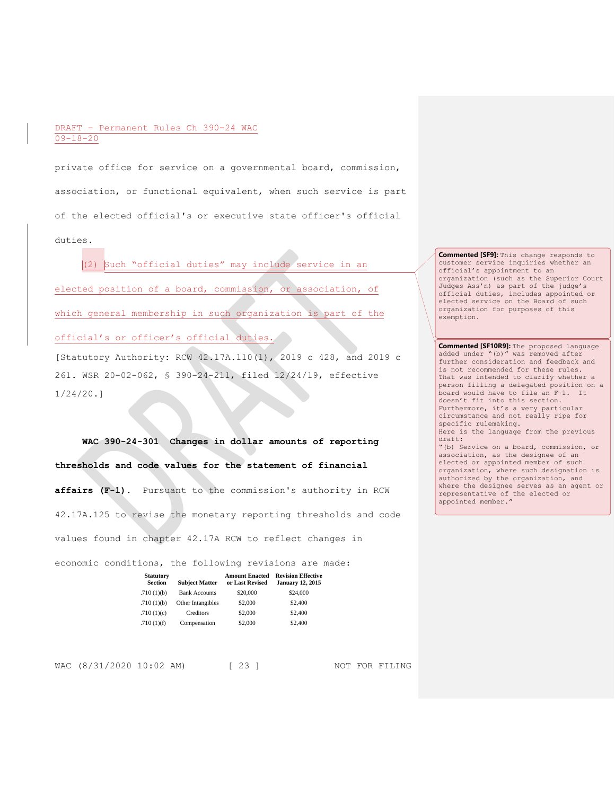private office for service on a governmental board, commission, association, or functional equivalent, when such service is part of the elected official's or executive state officer's official duties.

(2) Such "official duties" may include service in an elected position of a board, commission, or association, of which general membership in such organization is part of the official's or officer's official duties.

[Statutory Authority: RCW 42.17A.110(1), 2019 c 428, and 2019 c 261. WSR 20-02-062, § 390-24-211, filed 12/24/19, effective 1/24/20.]

**WAC 390-24-301 Changes in dollar amounts of reporting thresholds and code values for the statement of financial affairs (F-1).** Pursuant to the commission's authority in RCW 42.17A.125 to revise the monetary reporting thresholds and code values found in chapter 42.17A RCW to reflect changes in

economic conditions, the following revisions are made:

| <b>Statutory</b><br><b>Section</b> | <b>Subject Matter</b> | <b>Amount Enacted</b><br>or Last Revised | <b>Revision Effective</b><br><b>January 12, 2015</b> |
|------------------------------------|-----------------------|------------------------------------------|------------------------------------------------------|
| .710(1)(b)                         | <b>Bank Accounts</b>  | \$20,000                                 | \$24,000                                             |
| .710(1)(b)                         | Other Intangibles     | \$2,000                                  | \$2,400                                              |
| .710(1)(c)                         | Creditors             | \$2,000                                  | \$2,400                                              |
| .710(1)(f)                         | Compensation          | \$2,000                                  | \$2,400                                              |

WAC (8/31/2020 10:02 AM) [ 23 ] NOT FOR FILING

**Commented [SF9]:** This change responds to customer service inquiries whether an official's appointment to an organization (such as the Superior Court Judges Ass'n) as part of the judge's official duties, includes appointed or elected service on the Board of such organization for purposes of this exemption.

**Commented [SF10R9]:** The proposed language added under "(b)" was removed after further consideration and feedback and is not recommended for these rules. That was intended to clarify whether a person filling a delegated position on a board would have to file an F-1. It doesn't fit into this section. Furthermore, it's a very particular circumstance and not really ripe for specific rulemaking. Here is the language from the previous draft: "(b) Service on a board, commission, or association, as the designee of an elected or appointed member of such organization, where such designation is authorized by the organization, and

where the designee serves as an agent or representative of the elected or appointed member."